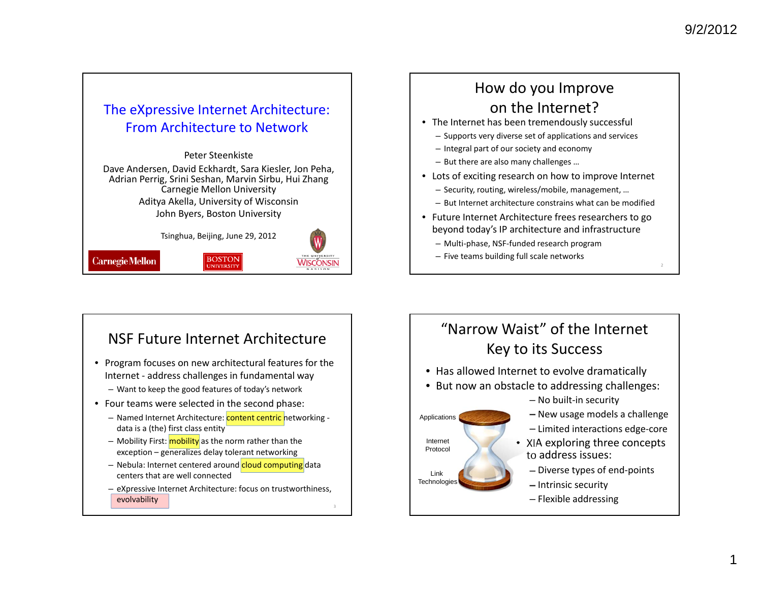### The eXpressive Internet Architecture: From Architecture to Network

Peter Steenkiste

Dave Andersen, David Eckhardt, Sara Kiesler, Jon Peha, Adrian Perrig, Srini Seshan, Marvin Sirbu, Hui Zhang Carnegie Mellon University Aditya Akella, University of Wisconsin John Byers, Boston University

Tsinghua, Beijing, June 29, 2012

**BOSTON** 



**Carnegie Mellon** 

### How do you Improve on the Internet?

- The Internet has been tremendously successful
	- Supports very diverse set of applications and services
	- Integral part of our society and economy
	- But there are also many challenges …
- Lots of exciting research on how to improve Internet
	- Security, routing, wireless/mobile, management, …
	- But Internet architecture constrains what can be modified
- Future Internet Architecture frees researchers to go beyond today's IP architecture and infrastructure
	- Multi‐phase, NSF‐funded research program
	- Five teams building full scale networks

Applications

InternetProtocol

Link **Technologies** 

## NSF Future Internet Architecture

- Program focuses on new architectural features for the Internet ‐ address challenges in fundamental way – Want to keep the good features of today's network
- Four teams were selected in the second phase:
	- Named Internet Architecture: <mark>content centric </mark>networking data is <sup>a</sup> (the) first class entity
	- Mobility First: mobility as the norm rather than the exception – generalizes delay tolerant networking
	- Nebula: Internet centered around <mark>cloud computing</mark> data centers that are well connected
	- eXpressive Internet Architecture: focus on trustworthiness, evolvability

# "Narrow Waist" of the Internet Key to its Success

- Has allowed Internet to evolve dramatically
- But now an obstacle to addressing challenges:
	- No built‐in security
	- New usage models <sup>a</sup> challenge
	- Limited interactions edge‐core
	- XIA exploring three concepts to address issues:
		- Diverse types of end‐points
		- Intrinsic security
		- Flexible addressing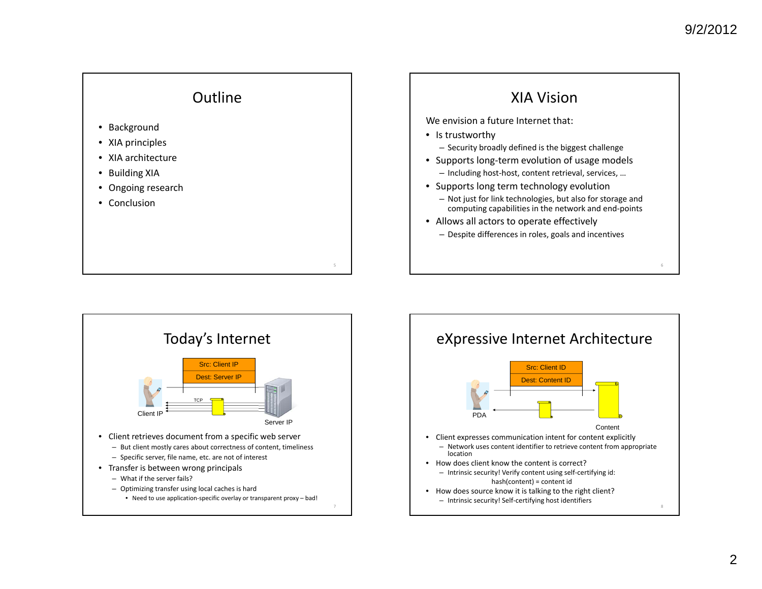

- Background
- XIA principles
- XIA architecture
- Building XIA
- Ongoing research
- Conclusion





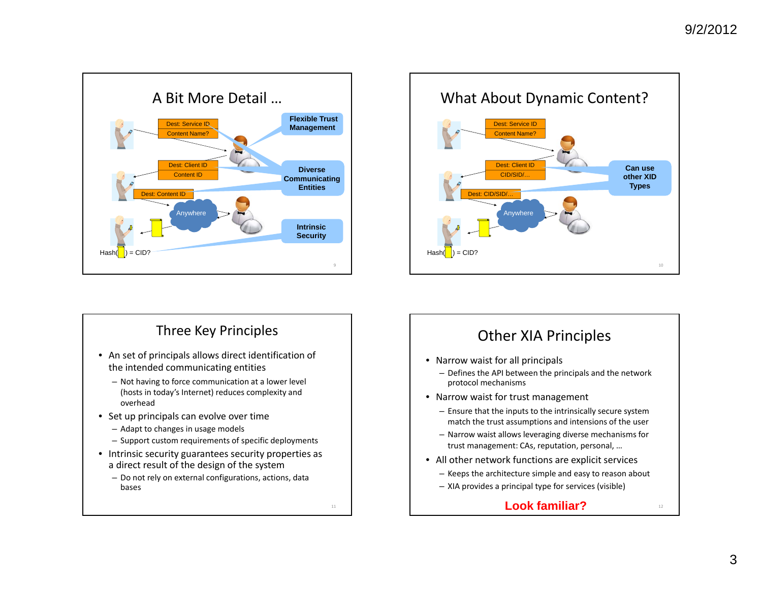

## Three Key Principles

- An set of principals allows direct identification of the intended communicating entities
	- Not having to force communication at <sup>a</sup> lower level (hosts in today's Internet) reduces complexity and overhead
- Set up principals can evolve over time
	- Adapt to changes in usage models
	- Support custom requirements of specific deployments
- Intrinsic security guarantees security properties as a direct result of the design of the system
	- Do not rely on external configurations, actions, data bases



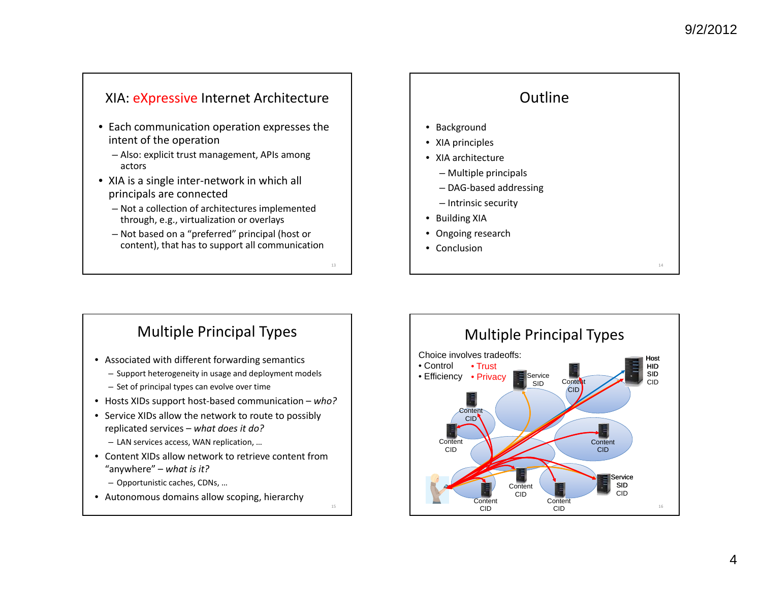#### XIA: <u>eXpressive</u> Internet Architecture

- Each communication operation expresses the intent of the operation
	- Also: explicit trust management, APIs among actors
- XIA is <sup>a</sup> single inter‐network in which all principals are connected
	- Not <sup>a</sup> collection of architectures implemented through, e.g., virtualization or overlays
	- Not based on <sup>a</sup> "preferred" principal (host or content), that has to support all communication

13

15

### **Outline** • Background • XIA principles • XIA architecture – Multiple principals – DAG‐based addressing – Intrinsic security • Building XIA • Ongoing research • Conclusion14

### Multiple Principal Types

- Associated with different forwarding semantics
	- Support heterogeneity in usage and deployment models
	- Set of principal types can evolve over time
- Hosts XIDs support host‐based communication *who?*
- Service XIDs allow the network to route to possibly replicated services – *what does it do?*
	- LAN services access, WAN replication, …
- Content XIDs allow network to retrieve content from"anywhere" – *what is it?*
	- Opportunistic caches, CDNs, …
- Autonomous domains allow scoping, hierarchy

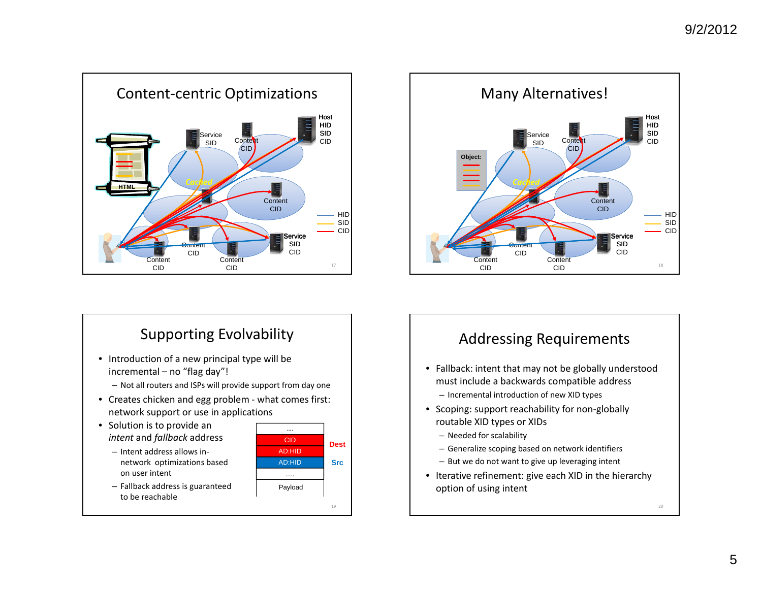

# Supporting Evolvability

- Introduction of <sup>a</sup> new principal type will be incremental – no "flag day"!
	- Not all routers and ISPs will provide support from day one
- Creates chicken and egg problem ‐ what comes first: network support or use in applications
- Solution is to provide an *intent* and *fallback* address
	- Intent address allows in‐ network optimizations based on user intent
	- Fallback address is guaranteed to be reachable





### Addressing Requirements

- Fallback: intent that may not be globally understood must include <sup>a</sup> backwards compatible address
	- Incremental introduction of new XID types
- Scoping: support reachability for non‐globally routable XID types or XIDs
	- Needed for scalability
	- Generalize scoping based on network identifiers
	- But we do not want to give up leveraging intent
- Iterative refinement: give each XID in the hierarchy option of using intent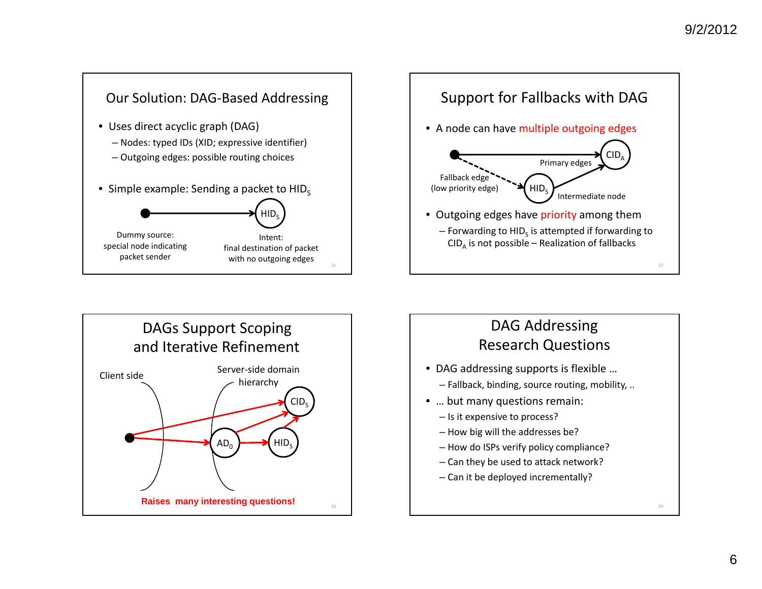



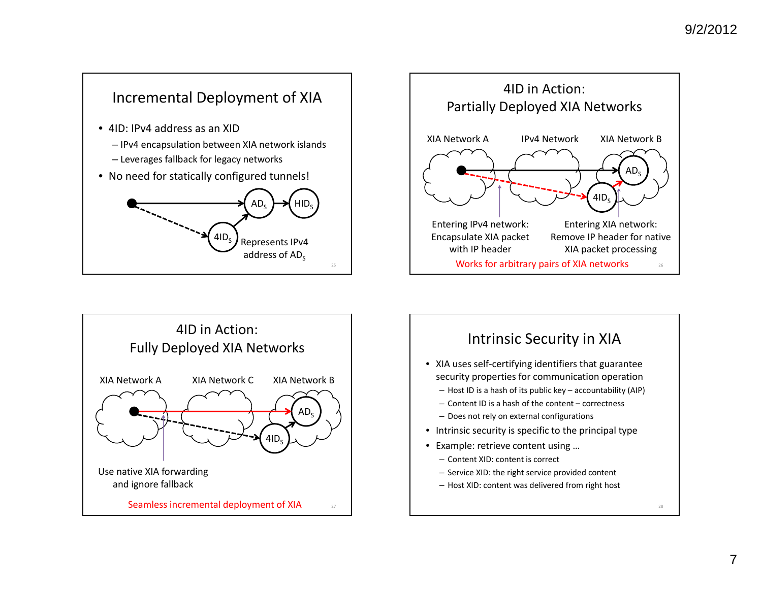





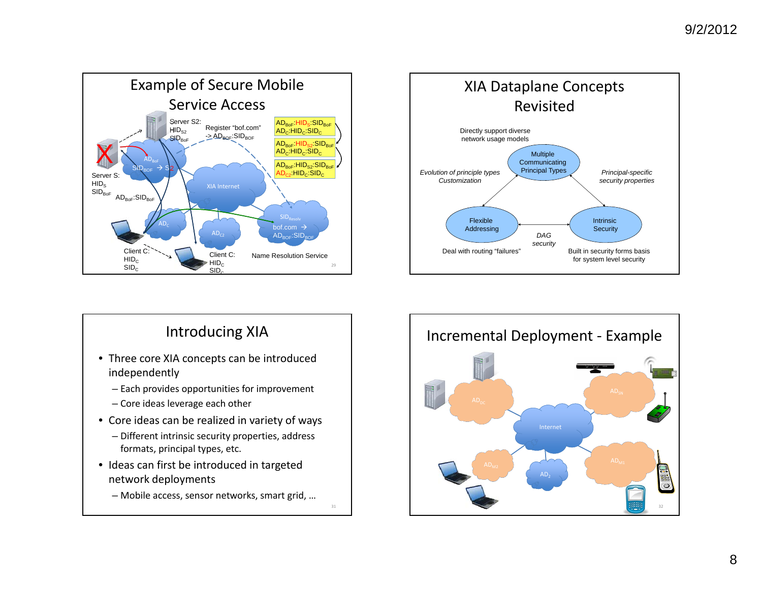



# Introducing XIA

- Three core XIA concepts can be introduced independently
	- Each provides opportunities for improvement
	- Core ideas leverage each other
- Core ideas can be realized in variety of ways
	- Different intrinsic security properties, address formats, principal types, etc.
- Ideas can first be introduced in targeted network deployments
	- Mobile access, sensor networks, smart grid, …

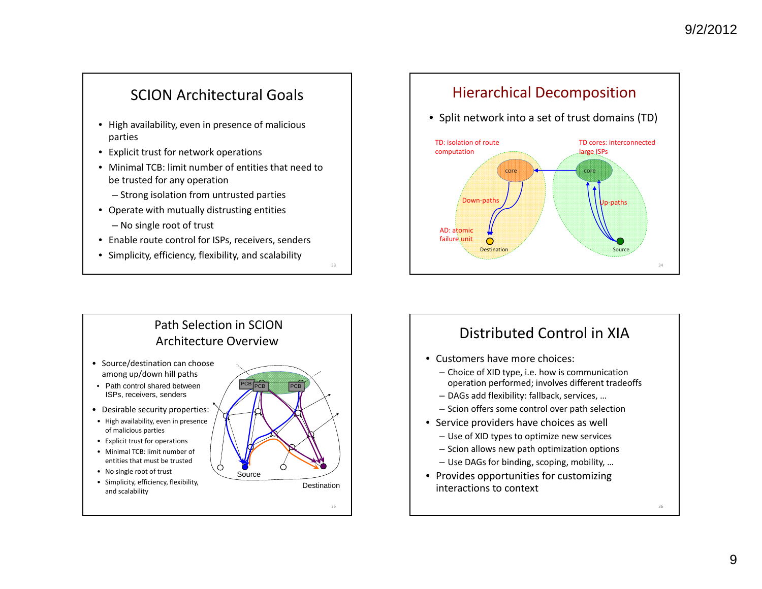## SCION Architectural Goals

- High availability, even in presence of malicious parties
- Explicit trust for network operations
- Minimal TCB: limit number of entities that need to be trusted for any operation
	- Strong isolation from untrusted parties
- Operate with mutually distrusting entities
	- No single root of trust
- Enable route control for ISPs, receivers, senders

33

• Simplicity, efficiency, flexibility, and scalability

#### Hierarchical Decomposition

• Split network into <sup>a</sup> set of trust domains (TD)





## Distributed Control in XIA

- Customers have more choices:
	- Choice of XID type, i.e. how is communication operation performed; involves different tradeoffs
	- DAGs add flexibility: fallback, services, …
	- Scion offers some control over path selection
- Service providers have choices as well
	- Use of XID types to optimize new services
	- Scion allows new path optimization options
	- Use DAGs for binding, scoping, mobility, …
- Provides opportunities for customizing interactions to context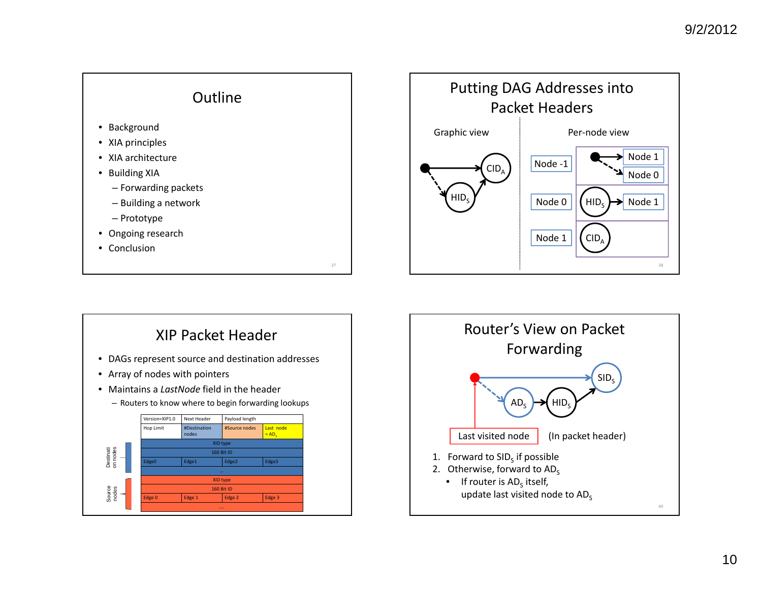



# XIP Packet Header

- DAGs represent source and destination addresses
- Array of nodes with pointers
- Maintains a *LastNode* field in the header
	- Routers to know where to begin forwarding lookups



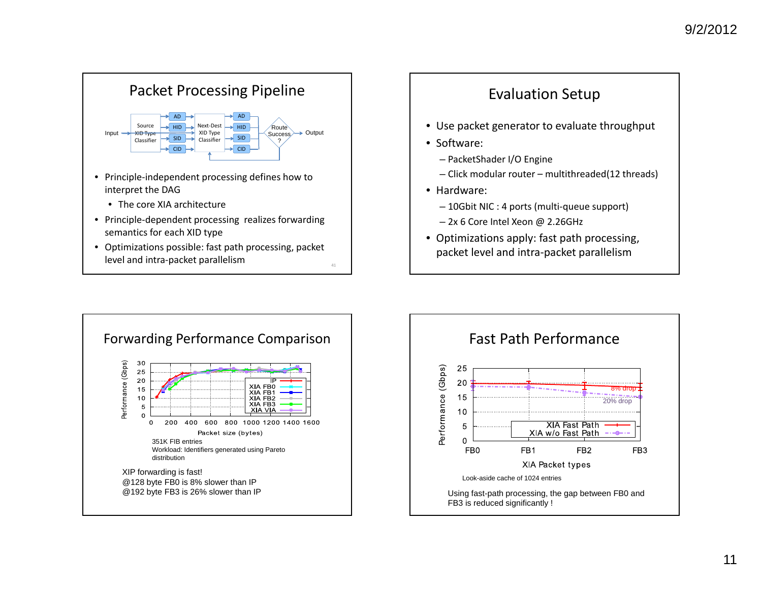



- Use packet generator to evaluate throughput
- Software:
	- PacketShader I/O Engine
	- Click modular router multithreaded(12 threads)
- Hardware:
	- 10Gbit NIC : 4 ports (multi‐queue support)
	- 2x 6 Core Intel Xeon @ 2.26GHz
- Optimizations apply: fast path processing, packet level and intra‐packet parallelism



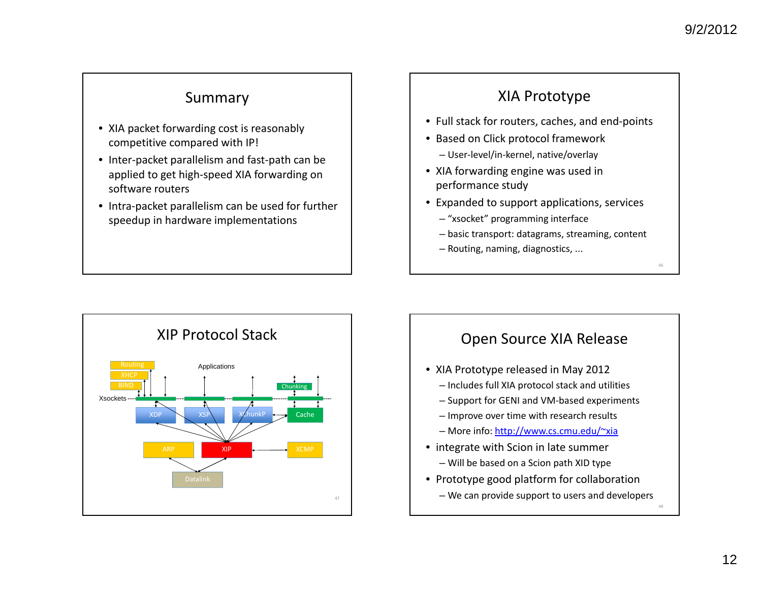### Summary

- XIA packet forwarding cost is reasonably competitive compared with IP!
- Inter‐packet parallelism and fast‐path can be applied to get high‐speed XIA forwarding on software routers
- Intra‐packet parallelism can be used for further speedup in hardware implementations

### XIA Prototype

- Full stack for routers, caches, and end‐points
- Based on Click protocol framework – User‐level/in‐kernel, native/overlay
- XIA forwarding engine was used in performance study
- Expanded to support applications, services
	- "xsocket" programming interface
	- basic transport: datagrams, streaming, content
	- Routing, naming, diagnostics, ...



## Open Source XIA Release

- XIA Prototype released in May 2012
	- Includes full XIA protocol stack and utilities
	- Support for GENI and VM‐based experiments
	- Improve over time with research results
	- More info: http://www.cs.cmu.edu/~xia
- integrate with Scion in late summer – Will be based on <sup>a</sup> Scion path XID type
- Prototype good platform for collaboration – We can provide support to users and developers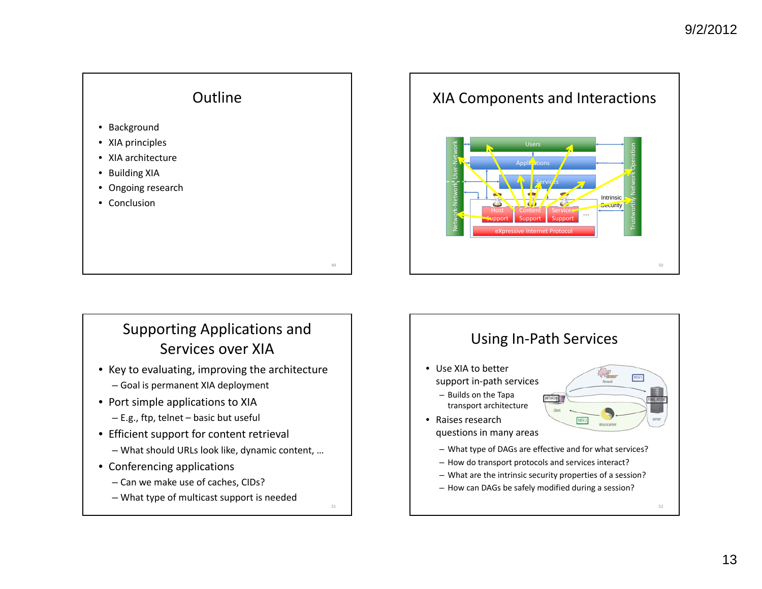

# Supporting Applications and Services over XIA

- Key to evaluating, improving the architecture – Goal is permanent XIA deployment
- Port simple applications to XIA
- E.g., ftp, telnet basic but useful
- Efficient support for content retrieval
	- What should URLs look like, dynamic content, …
- Conferencing applications
	- Can we make use of caches, CIDs?
	- What type of multicast support is needed

51

Network ‐Network User ‐Network XIA Components and Interactions eXpressive Internet Protocol Support ContentSupport ServicesSupport …Applications UsersServic<mark>é</mark>s Intrinsic<mark>Security</mark> Trustworthy Network Operation

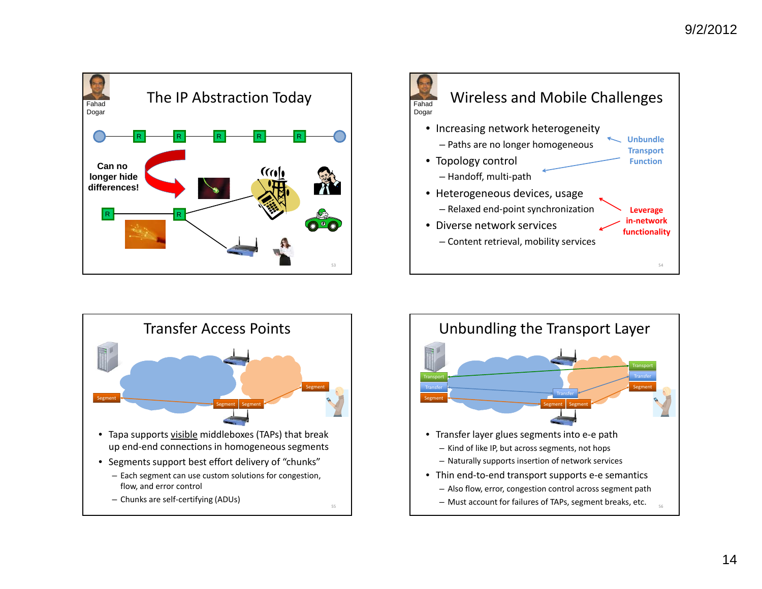





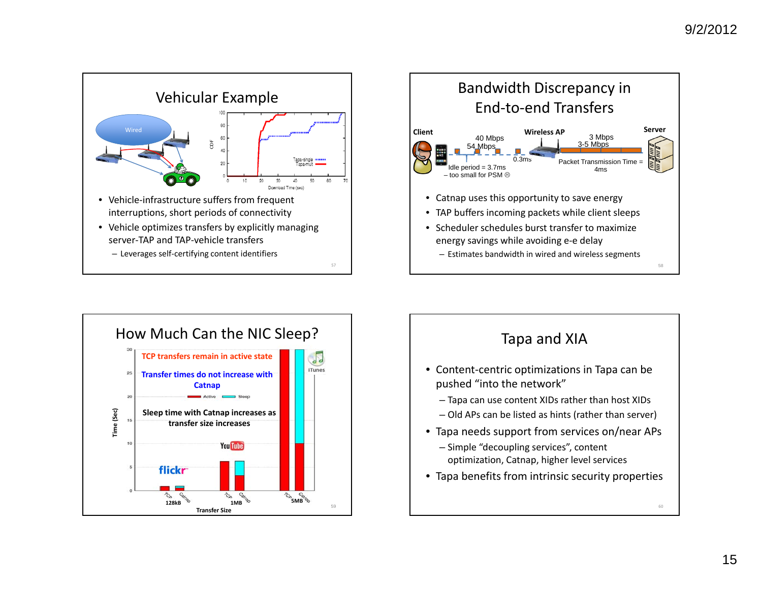





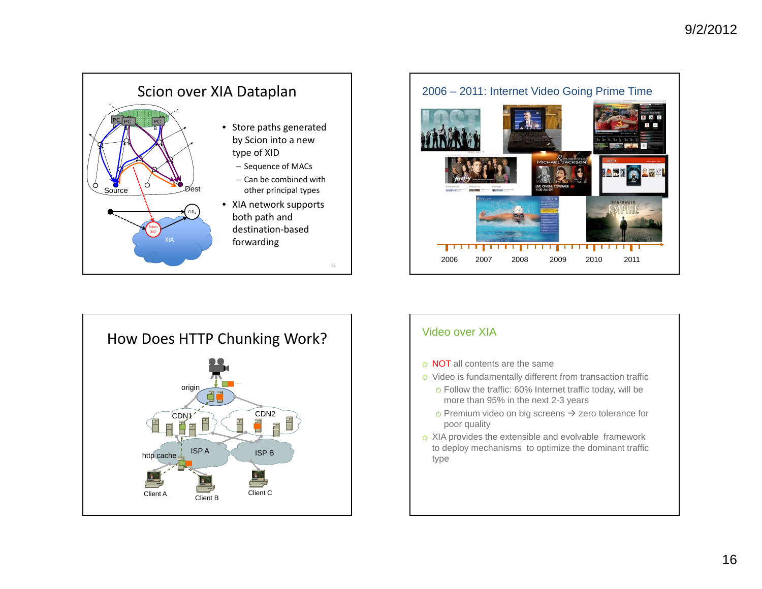





#### Video over XIA

- **NOT** all contents are the same
- Video is fundamentally different from transaction traffic
	- Follow the traffic: 60% Internet traffic today, will be more than 95% in the next 2-3 years
	- $\circ$  Premium video on big screens  $\rightarrow$  zero tolerance for poor quality
- <sup>o</sup> XIA provides the extensible and evolvable framework to deploy mechanisms to optimize the dominant traffic type